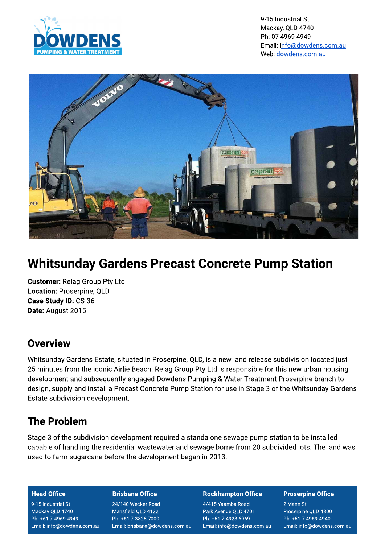

9-15 Industrial St Mackay, QLD 4740 Ph: 07 4969 4949 Email: info@dowdens.com.au Web: dowdens.com.au



# **Whitsunday Gardens Precast Concrete Pump Station**

**Customer: Relag Group Pty Ltd** Location: Proserpine, QLD Case Study ID: CS-36 Date: August 2015

## Overview

Whitsunday Gardens Estate, situated in Proserpine, QLD, is a new land release subdivision located just 25 minutes from the iconic Airlie Beach. Relag Group Pty Ltd is responsible for this new urban housing development and subsequently engaged Dowdens Pumping & Water Treatment Proserpine branch to design, supply and install a Precast Concrete Pump Station for use in Stage 3 of the Whitsunday Gardens Estate subdivision development.

## **The Problem**

Stage 3 of the subdivision development required a standalone sewage pump station to be installed capable of handling the residential wastewater and sewage borne from 20 subdivided lots. The land was used to farm sugarcane before the development began in 2013.

### **Head Office**

9-15 Industrial St Mackay QLD 4740 Ph: +61 7 4969 4949 Email: info@dowdens.com.au

### **Brisbane Office**

24/140 Wecker Road Mansfield QLD 4122 Ph: +61 7 3828 7000 Email: brisbane@dowdens.com.au

#### **Rockhampton Office**

4/415 Yaamba Road Park Avenue QLD 4701 Ph: +61 7 4923 6969 Email: info@dowdens.com.au

#### **Proserpine Office**

2 Mann St Proserpine QLD 4800 Ph: +61 7 4969 4940 Email: info@dowdens.com.au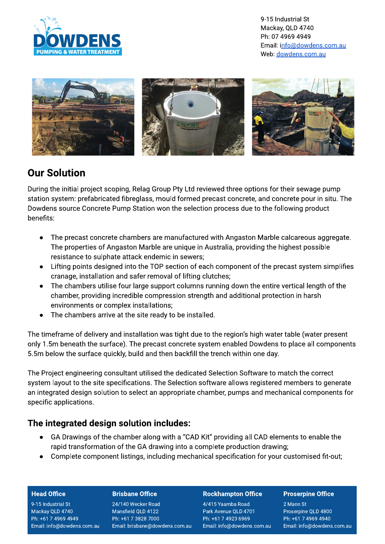

9-15 Industrial St Mackay, QLD 4740 Ph: 07 4969 4949 Email: info@dowdens.com.au Web: dowdens.com.au



## **Our Solution**

During the initial project scoping, Relag Group Pty Ltd reviewed three options for their sewage pump station system: prefabricated fibreglass, mould formed precast concrete, and concrete pour in situ. The Dowdens source Concrete Pump Station won the selection process due to the following product henefits:

- The precast concrete chambers are manufactured with Angaston Marble calcareous aggregate.  $\bullet$ The properties of Angaston Marble are unique in Australia, providing the highest possible resistance to sulphate attack endemic in sewers;
- Lifting points designed into the TOP section of each component of the precast system simplifies  $\bullet$ cranage, installation and safer removal of lifting clutches;
- The chambers utilise four large support columns running down the entire vertical length of the  $\bullet$ chamber, providing incredible compression strength and additional protection in harsh environments or complex installations;
- The chambers arrive at the site ready to be installed.  $\bullet$

The timeframe of delivery and installation was tight due to the region's high water table (water present only 1.5m beneath the surface). The precast concrete system enabled Dowdens to place all components 5.5m below the surface quickly, build and then backfill the trench within one day.

The Project engineering consultant utilised the dedicated Selection Software to match the correct system layout to the site specifications. The Selection software allows registered members to generate an integrated design solution to select an appropriate chamber, pumps and mechanical components for specific applications.

### The integrated design solution includes:

- GA Drawings of the chamber along with a "CAD Kit" providing all CAD elements to enable the rapid transformation of the GA drawing into a complete production drawing;
- Complete component listings, including mechanical specification for your customised fit-out;

### **Head Office**

9-15 Industrial St Mackay QLD 4740 Ph: +61 7 4969 4949 Email: info@dowdens.com.au

### **Brisbane Office**

24/140 Wecker Road Mansfield QLD 4122 Ph: +61 7 3828 7000 Email: brisbane@dowdens.com.au

### **Rockhampton Office**

4/415 Yaamba Road Park Avenue QLD 4701 Ph: +61 7 4923 6969 Email: info@dowdens.com.au

### **Proserpine Office**

2 Mann St Proserpine QLD 4800 Ph: +61 7 4969 4940 Email: info@dowdens.com.au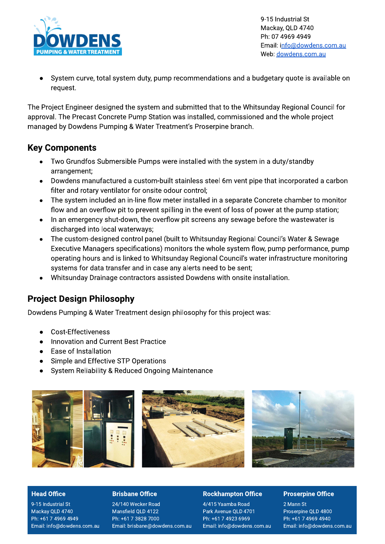

9-15 Industrial St Mackay, QLD 4740 Ph: 07 4969 4949 Email: info@dowdens.com.au Web: dowdens.com.au

System curve, total system duty, pump recommendations and a budgetary quote is available on request.

The Project Engineer designed the system and submitted that to the Whitsunday Regional Council for approval. The Precast Concrete Pump Station was installed, commissioned and the whole project managed by Dowdens Pumping & Water Treatment's Proserpine branch.

### **Key Components**

- Two Grundfos Submersible Pumps were installed with the system in a duty/standby arrangement:
- Dowdens manufactured a custom-built stainless steel 6m vent pipe that incorporated a carbon  $\bullet$ filter and rotary ventilator for onsite odour control;
- The system included an in-line flow meter installed in a separate Concrete chamber to monitor  $\bullet$ flow and an overflow pit to prevent spilling in the event of loss of power at the pump station;
- In an emergency shut-down, the overflow pit screens any sewage before the wastewater is  $\bullet$ discharged into local waterways;
- The custom-designed control panel (built to Whitsunday Regional Council's Water & Sewage  $\bullet$ Executive Managers specifications) monitors the whole system flow, pump performance, pump operating hours and is linked to Whitsunday Regional Council's water infrastructure monitoring systems for data transfer and in case any alerts need to be sent;
- Whitsunday Drainage contractors assisted Dowdens with onsite installation.

### **Project Design Philosophy**

Dowdens Pumping & Water Treatment design philosophy for this project was:

- Cost-Effectiveness
- Innovation and Current Best Practice
- Ease of Installation  $\bullet$
- Simple and Effective STP Operations  $\bullet$
- System Reliability & Reduced Ongoing Maintenance



### **Head Office**

9-15 Industrial St Mackay QLD 4740 Ph: +61 7 4969 4949 Email: info@dowdens.com.au

### **Brisbane Office**

24/140 Wecker Road Mansfield QLD 4122 Ph: +61 7 3828 7000 Email: brisbane@dowdens.com.au

### **Rockhampton Office**

4/415 Yaamba Road Park Avenue QLD 4701 Ph: +61 7 4923 6969 Email: info@dowdens.com.au

### **Proserpine Office**

2 Mann St Proserpine QLD 4800 Ph: +61 7 4969 4940 Email: info@dowdens.com.au